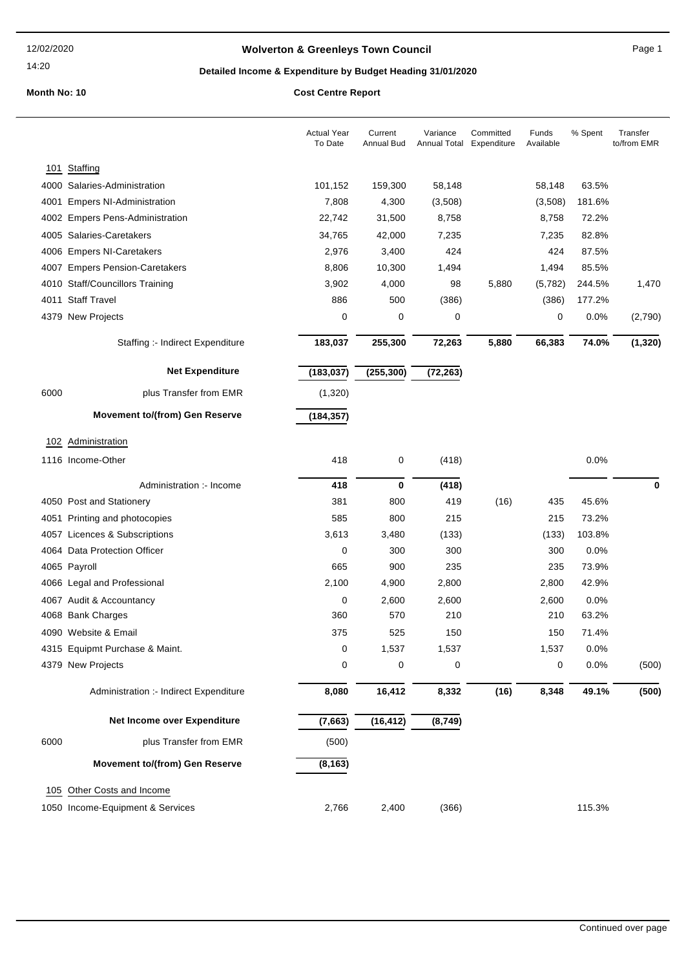14:20

## **Wolverton & Greenleys Town Council** Magnetic Page 1

## **Detailed Income & Expenditure by Budget Heading 31/01/2020**

|      |                                        | <b>Actual Year</b><br>To Date | Current<br>Annual Bud | Variance<br>Annual Total | Committed<br>Expenditure | Funds<br>Available | % Spent | Transfer<br>to/from EMR |
|------|----------------------------------------|-------------------------------|-----------------------|--------------------------|--------------------------|--------------------|---------|-------------------------|
|      | 101 Staffing                           |                               |                       |                          |                          |                    |         |                         |
|      | 4000 Salaries-Administration           | 101,152                       | 159,300               | 58,148                   |                          | 58,148             | 63.5%   |                         |
|      | 4001 Empers NI-Administration          | 7,808                         | 4,300                 | (3,508)                  |                          | (3,508)            | 181.6%  |                         |
|      | 4002 Empers Pens-Administration        | 22,742                        | 31,500                | 8,758                    |                          | 8,758              | 72.2%   |                         |
|      | 4005 Salaries-Caretakers               | 34,765                        | 42,000                | 7,235                    |                          | 7,235              | 82.8%   |                         |
|      | 4006 Empers NI-Caretakers              | 2,976                         | 3,400                 | 424                      |                          | 424                | 87.5%   |                         |
|      | 4007 Empers Pension-Caretakers         | 8,806                         | 10,300                | 1,494                    |                          | 1,494              | 85.5%   |                         |
|      | 4010 Staff/Councillors Training        | 3,902                         | 4,000                 | 98                       | 5,880                    | (5,782)            | 244.5%  | 1,470                   |
|      | 4011 Staff Travel                      | 886                           | 500                   | (386)                    |                          | (386)              | 177.2%  |                         |
|      | 4379 New Projects                      | 0                             | 0                     | 0                        |                          | 0                  | 0.0%    | (2,790)                 |
|      | Staffing :- Indirect Expenditure       | 183,037                       | 255,300               | 72,263                   | 5,880                    | 66,383             | 74.0%   | (1, 320)                |
|      | <b>Net Expenditure</b>                 | (183, 037)                    | (255, 300)            | (72, 263)                |                          |                    |         |                         |
| 6000 | plus Transfer from EMR                 | (1,320)                       |                       |                          |                          |                    |         |                         |
|      | <b>Movement to/(from) Gen Reserve</b>  | (184, 357)                    |                       |                          |                          |                    |         |                         |
|      | 102 Administration                     |                               |                       |                          |                          |                    |         |                         |
|      | 1116 Income-Other                      | 418                           | 0                     | (418)                    |                          |                    | 0.0%    |                         |
|      | Administration :- Income               | 418                           | $\bf{0}$              | (418)                    |                          |                    |         | $\bf{0}$                |
|      | 4050 Post and Stationery               | 381                           | 800                   | 419                      | (16)                     | 435                | 45.6%   |                         |
|      | 4051 Printing and photocopies          | 585                           | 800                   | 215                      |                          | 215                | 73.2%   |                         |
|      | 4057 Licences & Subscriptions          | 3,613                         | 3,480                 | (133)                    |                          | (133)              | 103.8%  |                         |
|      | 4064 Data Protection Officer           | 0                             | 300                   | 300                      |                          | 300                | 0.0%    |                         |
|      | 4065 Payroll                           | 665                           | 900                   | 235                      |                          | 235                | 73.9%   |                         |
|      | 4066 Legal and Professional            | 2,100                         | 4,900                 | 2,800                    |                          | 2,800              | 42.9%   |                         |
|      | 4067 Audit & Accountancy               | 0                             | 2,600                 | 2,600                    |                          | 2,600              | 0.0%    |                         |
|      | 4068 Bank Charges                      | 360                           | 570                   | 210                      |                          | 210                | 63.2%   |                         |
|      | 4090 Website & Email                   | 375                           | 525                   | 150                      |                          | 150                | 71.4%   |                         |
|      | 4315 Equipmt Purchase & Maint.         | 0                             | 1,537                 | 1,537                    |                          | 1,537              | 0.0%    |                         |
|      | 4379 New Projects                      | 0                             | 0                     | 0                        |                          | 0                  | 0.0%    | (500)                   |
|      | Administration :- Indirect Expenditure | 8,080                         | 16,412                | 8,332                    | (16)                     | 8,348              | 49.1%   | (500)                   |
|      | Net Income over Expenditure            | (7,663)                       | (16, 412)             | (8,749)                  |                          |                    |         |                         |
| 6000 | plus Transfer from EMR                 | (500)                         |                       |                          |                          |                    |         |                         |
|      | <b>Movement to/(from) Gen Reserve</b>  | (8, 163)                      |                       |                          |                          |                    |         |                         |
|      | 105 Other Costs and Income             |                               |                       |                          |                          |                    |         |                         |
|      | 1050 Income-Equipment & Services       | 2,766                         | 2,400                 | (366)                    |                          |                    | 115.3%  |                         |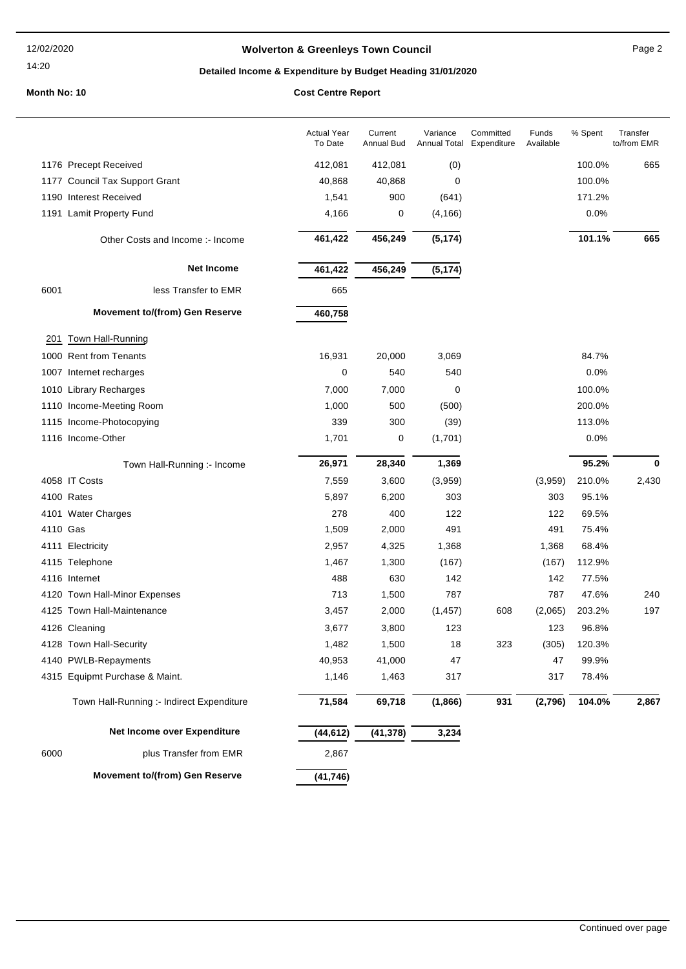### 12/02/2020

### 14:20

## **Wolverton & Greenleys Town Council** Manual Page 2

# **Detailed Income & Expenditure by Budget Heading 31/01/2020**

|          |                                           | <b>Actual Year</b><br>To Date | Current<br><b>Annual Bud</b> | Variance<br>Annual Total | Committed<br>Expenditure | Funds<br>Available | % Spent | Transfer<br>to/from EMR |
|----------|-------------------------------------------|-------------------------------|------------------------------|--------------------------|--------------------------|--------------------|---------|-------------------------|
|          | 1176 Precept Received                     | 412,081                       | 412,081                      | (0)                      |                          |                    | 100.0%  | 665                     |
|          | 1177 Council Tax Support Grant            | 40,868                        | 40,868                       | 0                        |                          |                    | 100.0%  |                         |
|          | 1190 Interest Received                    | 1,541                         | 900                          | (641)                    |                          |                    | 171.2%  |                         |
|          | 1191 Lamit Property Fund                  | 4,166                         | 0                            | (4, 166)                 |                          |                    | 0.0%    |                         |
|          | Other Costs and Income :- Income          | 461,422                       | 456,249                      | (5, 174)                 |                          |                    | 101.1%  | 665                     |
|          | <b>Net Income</b>                         | 461,422                       | 456,249                      | (5, 174)                 |                          |                    |         |                         |
| 6001     | less Transfer to EMR                      | 665                           |                              |                          |                          |                    |         |                         |
|          | <b>Movement to/(from) Gen Reserve</b>     | 460,758                       |                              |                          |                          |                    |         |                         |
| 201      | <b>Town Hall-Running</b>                  |                               |                              |                          |                          |                    |         |                         |
|          | 1000 Rent from Tenants                    | 16,931                        | 20,000                       | 3,069                    |                          |                    | 84.7%   |                         |
|          | 1007 Internet recharges                   | 0                             | 540                          | 540                      |                          |                    | 0.0%    |                         |
|          | 1010 Library Recharges                    | 7,000                         | 7,000                        | 0                        |                          |                    | 100.0%  |                         |
|          | 1110 Income-Meeting Room                  | 1,000                         | 500                          | (500)                    |                          |                    | 200.0%  |                         |
|          | 1115 Income-Photocopying                  | 339                           | 300                          | (39)                     |                          |                    | 113.0%  |                         |
|          | 1116 Income-Other                         | 1,701                         | 0                            | (1,701)                  |                          |                    | 0.0%    |                         |
|          | Town Hall-Running :- Income               | 26,971                        | 28,340                       | 1,369                    |                          |                    | 95.2%   | 0                       |
|          | 4058 IT Costs                             | 7,559                         | 3,600                        | (3,959)                  |                          | (3,959)            | 210.0%  | 2,430                   |
|          | 4100 Rates                                | 5,897                         | 6,200                        | 303                      |                          | 303                | 95.1%   |                         |
|          | 4101 Water Charges                        | 278                           | 400                          | 122                      |                          | 122                | 69.5%   |                         |
| 4110 Gas |                                           | 1,509                         | 2,000                        | 491                      |                          | 491                | 75.4%   |                         |
|          | 4111 Electricity                          | 2,957                         | 4,325                        | 1,368                    |                          | 1,368              | 68.4%   |                         |
|          | 4115 Telephone                            | 1,467                         | 1,300                        | (167)                    |                          | (167)              | 112.9%  |                         |
|          | 4116 Internet                             | 488                           | 630                          | 142                      |                          | 142                | 77.5%   |                         |
|          | 4120 Town Hall-Minor Expenses             | 713                           | 1,500                        | 787                      |                          | 787                | 47.6%   | 240                     |
|          | 4125 Town Hall-Maintenance                | 3,457                         | 2,000                        | (1, 457)                 | 608                      | (2,065)            | 203.2%  | 197                     |
|          | 4126 Cleaning                             | 3,677                         | 3,800                        | 123                      |                          | 123                | 96.8%   |                         |
|          | 4128 Town Hall-Security                   | 1,482                         | 1,500                        | 18                       | 323                      | (305)              | 120.3%  |                         |
|          | 4140 PWLB-Repayments                      | 40,953                        | 41,000                       | 47                       |                          | 47                 | 99.9%   |                         |
|          | 4315 Equipmt Purchase & Maint.            | 1,146                         | 1,463                        | 317                      |                          | 317                | 78.4%   |                         |
|          | Town Hall-Running :- Indirect Expenditure | 71,584                        | 69,718                       | (1,866)                  | 931                      | (2,796)            | 104.0%  | 2,867                   |
|          | Net Income over Expenditure               | (44, 612)                     | (41, 378)                    | 3,234                    |                          |                    |         |                         |
| 6000     | plus Transfer from EMR                    | 2,867                         |                              |                          |                          |                    |         |                         |
|          | Movement to/(from) Gen Reserve            | (41, 746)                     |                              |                          |                          |                    |         |                         |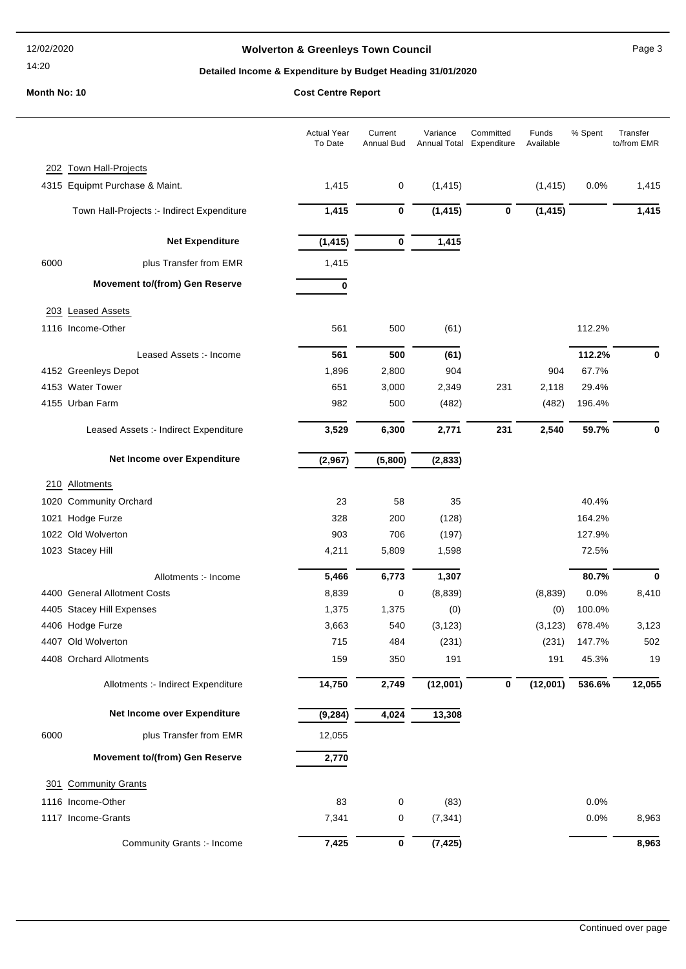### 12/02/2020

# 14:20

## **Wolverton & Greenleys Town Council** Manual Page 3

## **Detailed Income & Expenditure by Budget Heading 31/01/2020**

|      |                                            | <b>Actual Year</b><br>To Date | Current<br>Annual Bud | Variance    | Committed<br>Annual Total Expenditure | Funds<br>Available | % Spent | Transfer<br>to/from EMR |
|------|--------------------------------------------|-------------------------------|-----------------------|-------------|---------------------------------------|--------------------|---------|-------------------------|
| 202  | Town Hall-Projects                         |                               |                       |             |                                       |                    |         |                         |
|      | 4315 Equipmt Purchase & Maint.             | 1,415                         | 0                     | (1, 415)    |                                       | (1, 415)           | 0.0%    | 1,415                   |
|      | Town Hall-Projects :- Indirect Expenditure | 1,415                         | $\bf{0}$              | (1, 415)    | $\bf{0}$                              | (1, 415)           |         | 1,415                   |
|      | <b>Net Expenditure</b>                     | (1, 415)                      | 0                     | 1,415       |                                       |                    |         |                         |
| 6000 | plus Transfer from EMR                     | 1,415                         |                       |             |                                       |                    |         |                         |
|      | <b>Movement to/(from) Gen Reserve</b>      | 0                             |                       |             |                                       |                    |         |                         |
| 203  | <b>Leased Assets</b>                       |                               |                       |             |                                       |                    |         |                         |
|      | 1116 Income-Other                          | 561                           | 500                   | (61)        |                                       |                    | 112.2%  |                         |
|      | Leased Assets :- Income                    | 561                           | 500                   |             |                                       |                    | 112.2%  | 0                       |
|      | 4152 Greenleys Depot                       | 1,896                         | 2,800                 | (61)<br>904 |                                       | 904                | 67.7%   |                         |
|      | 4153 Water Tower                           | 651                           | 3,000                 | 2,349       | 231                                   | 2,118              | 29.4%   |                         |
|      | 4155 Urban Farm                            | 982                           | 500                   | (482)       |                                       | (482)              | 196.4%  |                         |
|      | Leased Assets :- Indirect Expenditure      | 3,529                         | 6,300                 | 2,771       | 231                                   | 2,540              | 59.7%   | 0                       |
|      | Net Income over Expenditure                | (2,967)                       | (5,800)               | (2,833)     |                                       |                    |         |                         |
|      | 210 Allotments                             |                               |                       |             |                                       |                    |         |                         |
|      | 1020 Community Orchard                     | 23                            | 58                    | 35          |                                       |                    | 40.4%   |                         |
|      | 1021 Hodge Furze                           | 328                           | 200                   | (128)       |                                       |                    | 164.2%  |                         |
|      | 1022 Old Wolverton                         | 903                           | 706                   | (197)       |                                       |                    | 127.9%  |                         |
|      | 1023 Stacey Hill                           | 4,211                         | 5,809                 | 1,598       |                                       |                    | 72.5%   |                         |
|      | Allotments :- Income                       | 5,466                         | 6,773                 | 1,307       |                                       |                    | 80.7%   | 0                       |
|      | 4400 General Allotment Costs               | 8,839                         | 0                     | (8, 839)    |                                       | (8,839)            | 0.0%    | 8,410                   |
|      | 4405 Stacey Hill Expenses                  | 1,375                         | 1,375                 | (0)         |                                       | (0)                | 100.0%  |                         |
|      | 4406 Hodge Furze                           | 3,663                         | 540                   | (3, 123)    |                                       | (3, 123)           | 678.4%  | 3,123                   |
|      | 4407 Old Wolverton                         | 715                           | 484                   | (231)       |                                       | (231)              | 147.7%  | 502                     |
|      | 4408 Orchard Allotments                    | 159                           | 350                   | 191         |                                       | 191                | 45.3%   | 19                      |
|      | Allotments :- Indirect Expenditure         | 14,750                        | 2,749                 | (12,001)    | $\boldsymbol{0}$                      | (12,001)           | 536.6%  | 12,055                  |
|      | Net Income over Expenditure                | (9, 284)                      | 4,024                 | 13,308      |                                       |                    |         |                         |
| 6000 | plus Transfer from EMR                     | 12,055                        |                       |             |                                       |                    |         |                         |
|      | <b>Movement to/(from) Gen Reserve</b>      | 2,770                         |                       |             |                                       |                    |         |                         |
| 301  | <b>Community Grants</b>                    |                               |                       |             |                                       |                    |         |                         |
|      | 1116 Income-Other                          | 83                            | 0                     | (83)        |                                       |                    | 0.0%    |                         |
|      | 1117 Income-Grants                         | 7,341                         | 0                     | (7, 341)    |                                       |                    | 0.0%    | 8,963                   |
|      | Community Grants :- Income                 | 7,425                         | 0                     | (7, 425)    |                                       |                    |         | 8,963                   |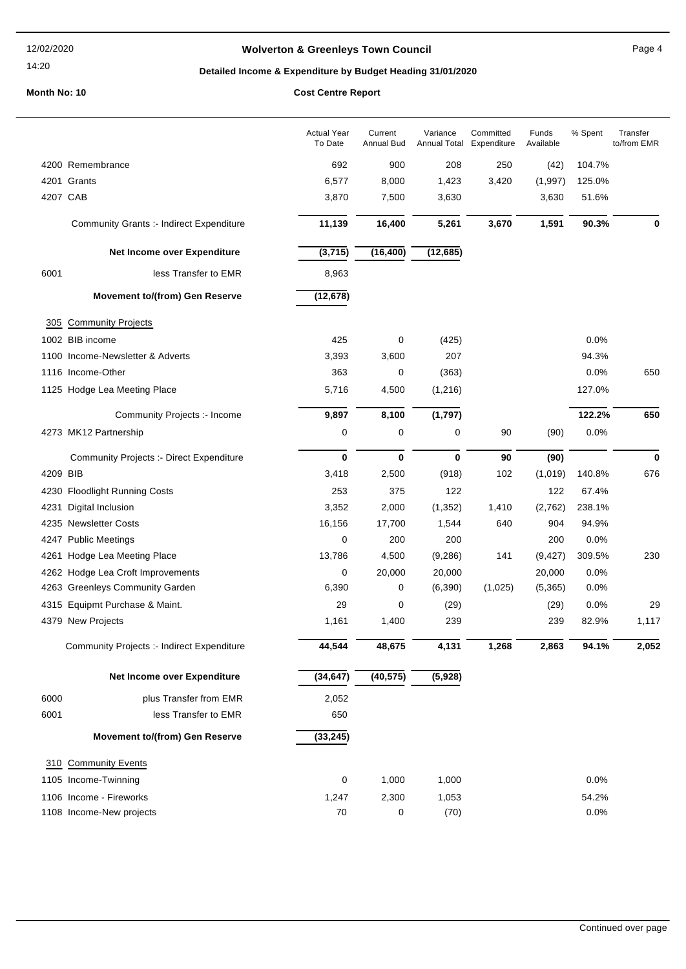### 12/02/2020

### 14:20

## **Wolverton & Greenleys Town Council Contract Contract Contract Page 4**

# **Detailed Income & Expenditure by Budget Heading 31/01/2020**

|          |                                                 | <b>Actual Year</b><br>To Date | Current<br>Annual Bud | Variance<br>Annual Total Expenditure | Committed | Funds<br>Available | % Spent | Transfer<br>to/from EMR |
|----------|-------------------------------------------------|-------------------------------|-----------------------|--------------------------------------|-----------|--------------------|---------|-------------------------|
|          | 4200 Remembrance                                | 692                           | 900                   | 208                                  | 250       | (42)               | 104.7%  |                         |
|          | 4201 Grants                                     | 6,577                         | 8,000                 | 1,423                                | 3,420     | (1,997)            | 125.0%  |                         |
| 4207 CAB |                                                 | 3,870                         | 7,500                 | 3,630                                |           | 3,630              | 51.6%   |                         |
|          | <b>Community Grants :- Indirect Expenditure</b> | 11,139                        | 16,400                | 5,261                                | 3,670     | 1,591              | 90.3%   | 0                       |
|          | Net Income over Expenditure                     | (3,715)                       | (16, 400)             | (12, 685)                            |           |                    |         |                         |
| 6001     | less Transfer to EMR                            | 8,963                         |                       |                                      |           |                    |         |                         |
|          | <b>Movement to/(from) Gen Reserve</b>           | (12, 678)                     |                       |                                      |           |                    |         |                         |
| 305      | <b>Community Projects</b>                       |                               |                       |                                      |           |                    |         |                         |
|          | 1002 BIB income                                 | 425                           | 0                     | (425)                                |           |                    | 0.0%    |                         |
|          | 1100 Income-Newsletter & Adverts                | 3,393                         | 3,600                 | 207                                  |           |                    | 94.3%   |                         |
|          | 1116 Income-Other                               | 363                           | 0                     | (363)                                |           |                    | 0.0%    | 650                     |
|          | 1125 Hodge Lea Meeting Place                    | 5,716                         | 4,500                 | (1, 216)                             |           |                    | 127.0%  |                         |
|          | Community Projects :- Income                    | 9,897                         | 8,100                 | (1,797)                              |           |                    | 122.2%  | 650                     |
|          | 4273 MK12 Partnership                           | $\mathbf 0$                   | 0                     | 0                                    | 90        | (90)               | 0.0%    |                         |
|          | <b>Community Projects :- Direct Expenditure</b> | $\bf{0}$                      | $\bf{0}$              | 0                                    | 90        | (90)               |         | $\bf{0}$                |
| 4209 BIB |                                                 | 3,418                         | 2,500                 | (918)                                | 102       | (1,019)            | 140.8%  | 676                     |
|          | 4230 Floodlight Running Costs                   | 253                           | 375                   | 122                                  |           | 122                | 67.4%   |                         |
| 4231     | Digital Inclusion                               | 3,352                         | 2,000                 | (1, 352)                             | 1,410     | (2,762)            | 238.1%  |                         |
|          | 4235 Newsletter Costs                           | 16,156                        | 17,700                | 1,544                                | 640       | 904                | 94.9%   |                         |
|          | 4247 Public Meetings                            | $\mathbf 0$                   | 200                   | 200                                  |           | 200                | 0.0%    |                         |
|          | 4261 Hodge Lea Meeting Place                    | 13,786                        | 4,500                 | (9, 286)                             | 141       | (9, 427)           | 309.5%  | 230                     |
|          | 4262 Hodge Lea Croft Improvements               | 0                             | 20,000                | 20,000                               |           | 20,000             | 0.0%    |                         |
|          | 4263 Greenleys Community Garden                 | 6,390                         | 0                     | (6, 390)                             | (1,025)   | (5,365)            | 0.0%    |                         |
|          | 4315 Equipmt Purchase & Maint.                  | 29                            | 0                     | (29)                                 |           | (29)               | 0.0%    | 29                      |
|          | 4379 New Projects                               | 1,161                         | 1,400                 | 239                                  |           | 239                | 82.9%   | 1,117                   |
|          | Community Projects :- Indirect Expenditure      | 44,544                        | 48,675                | 4,131                                | 1,268     | 2,863              | 94.1%   | 2,052                   |
|          | Net Income over Expenditure                     | (34, 647)                     | (40, 575)             | (5,928)                              |           |                    |         |                         |
| 6000     | plus Transfer from EMR                          | 2,052                         |                       |                                      |           |                    |         |                         |
| 6001     | less Transfer to EMR                            | 650                           |                       |                                      |           |                    |         |                         |
|          | <b>Movement to/(from) Gen Reserve</b>           | (33, 245)                     |                       |                                      |           |                    |         |                         |
|          | 310 Community Events                            |                               |                       |                                      |           |                    |         |                         |
|          | 1105 Income-Twinning                            | 0                             | 1,000                 | 1,000                                |           |                    | 0.0%    |                         |
|          | 1106 Income - Fireworks                         | 1,247                         | 2,300                 | 1,053                                |           |                    | 54.2%   |                         |
|          | 1108 Income-New projects                        | 70                            | 0                     | (70)                                 |           |                    | 0.0%    |                         |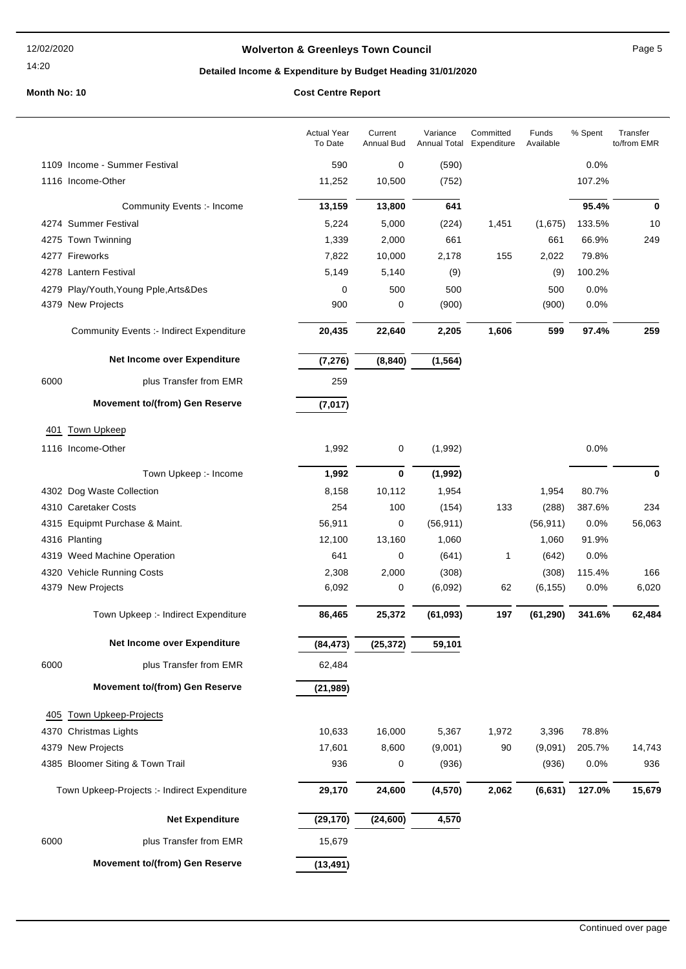14:20

## **Wolverton & Greenleys Town Council Page 5** Page 5

## **Detailed Income & Expenditure by Budget Heading 31/01/2020**

|      |                                                 | <b>Actual Year</b><br>To Date | Current<br><b>Annual Bud</b> | Variance<br>Annual Total | Committed<br>Expenditure | Funds<br>Available | % Spent | Transfer<br>to/from EMR |
|------|-------------------------------------------------|-------------------------------|------------------------------|--------------------------|--------------------------|--------------------|---------|-------------------------|
|      | 1109 Income - Summer Festival                   | 590                           | 0                            | (590)                    |                          |                    | 0.0%    |                         |
|      | 1116 Income-Other                               | 11,252                        | 10,500                       | (752)                    |                          |                    | 107.2%  |                         |
|      | Community Events :- Income                      | 13,159                        | 13,800                       | 641                      |                          |                    | 95.4%   | 0                       |
|      | 4274 Summer Festival                            | 5,224                         | 5,000                        | (224)                    | 1,451                    | (1,675)            | 133.5%  | 10                      |
|      | 4275 Town Twinning                              | 1,339                         | 2,000                        | 661                      |                          | 661                | 66.9%   | 249                     |
|      | 4277 Fireworks                                  | 7,822                         | 10,000                       | 2,178                    | 155                      | 2,022              | 79.8%   |                         |
|      | 4278 Lantern Festival                           | 5,149                         | 5,140                        | (9)                      |                          | (9)                | 100.2%  |                         |
|      | 4279 Play/Youth, Young Pple, Arts&Des           | 0                             | 500                          | 500                      |                          | 500                | 0.0%    |                         |
|      | 4379 New Projects                               | 900                           | 0                            | (900)                    |                          | (900)              | 0.0%    |                         |
|      | <b>Community Events :- Indirect Expenditure</b> | 20,435                        | 22,640                       | 2,205                    | 1,606                    | 599                | 97.4%   | 259                     |
|      | Net Income over Expenditure                     | (7, 276)                      | (8, 840)                     | (1, 564)                 |                          |                    |         |                         |
| 6000 | plus Transfer from EMR                          | 259                           |                              |                          |                          |                    |         |                         |
|      | <b>Movement to/(from) Gen Reserve</b>           | (7, 017)                      |                              |                          |                          |                    |         |                         |
| 401  | <b>Town Upkeep</b>                              |                               |                              |                          |                          |                    |         |                         |
|      | 1116 Income-Other                               | 1,992                         | 0                            | (1,992)                  |                          |                    | 0.0%    |                         |
|      | Town Upkeep :- Income                           | 1,992                         | $\bf{0}$                     | (1, 992)                 |                          |                    |         | 0                       |
|      | 4302 Dog Waste Collection                       | 8,158                         | 10,112                       | 1,954                    |                          | 1,954              | 80.7%   |                         |
|      | 4310 Caretaker Costs                            | 254                           | 100                          | (154)                    | 133                      | (288)              | 387.6%  | 234                     |
|      | 4315 Equipmt Purchase & Maint.                  | 56,911                        | 0                            | (56, 911)                |                          | (56, 911)          | 0.0%    | 56,063                  |
|      | 4316 Planting                                   | 12,100                        | 13,160                       | 1,060                    |                          | 1,060              | 91.9%   |                         |
|      | 4319 Weed Machine Operation                     | 641                           | 0                            | (641)                    | 1                        | (642)              | 0.0%    |                         |
|      | 4320 Vehicle Running Costs                      | 2,308                         | 2,000                        | (308)                    |                          | (308)              | 115.4%  | 166                     |
|      | 4379 New Projects                               | 6,092                         | 0                            | (6,092)                  | 62                       | (6, 155)           | 0.0%    | 6,020                   |
|      | Town Upkeep :- Indirect Expenditure             | 86,465                        | 25,372                       | (61, 093)                | 197                      | (61, 290)          | 341.6%  | 62,484                  |
|      | Net Income over Expenditure                     | (84, 473)                     | (25, 372)                    | 59,101                   |                          |                    |         |                         |
| 6000 | plus Transfer from EMR                          | 62,484                        |                              |                          |                          |                    |         |                         |
|      | <b>Movement to/(from) Gen Reserve</b>           | (21, 989)                     |                              |                          |                          |                    |         |                         |
| 405  | <b>Town Upkeep-Projects</b>                     |                               |                              |                          |                          |                    |         |                         |
|      | 4370 Christmas Lights                           | 10,633                        | 16,000                       | 5,367                    | 1,972                    | 3,396              | 78.8%   |                         |
|      | 4379 New Projects                               | 17,601                        | 8,600                        | (9,001)                  | 90                       | (9,091)            | 205.7%  | 14,743                  |
|      | 4385 Bloomer Siting & Town Trail                | 936                           | 0                            | (936)                    |                          | (936)              | 0.0%    | 936                     |
|      | Town Upkeep-Projects :- Indirect Expenditure    | 29,170                        | 24,600                       | (4, 570)                 | 2,062                    | (6, 631)           | 127.0%  | 15,679                  |
|      | <b>Net Expenditure</b>                          | (29, 170)                     | (24,600)                     | 4,570                    |                          |                    |         |                         |
| 6000 | plus Transfer from EMR                          | 15,679                        |                              |                          |                          |                    |         |                         |
|      | <b>Movement to/(from) Gen Reserve</b>           | (13, 491)                     |                              |                          |                          |                    |         |                         |